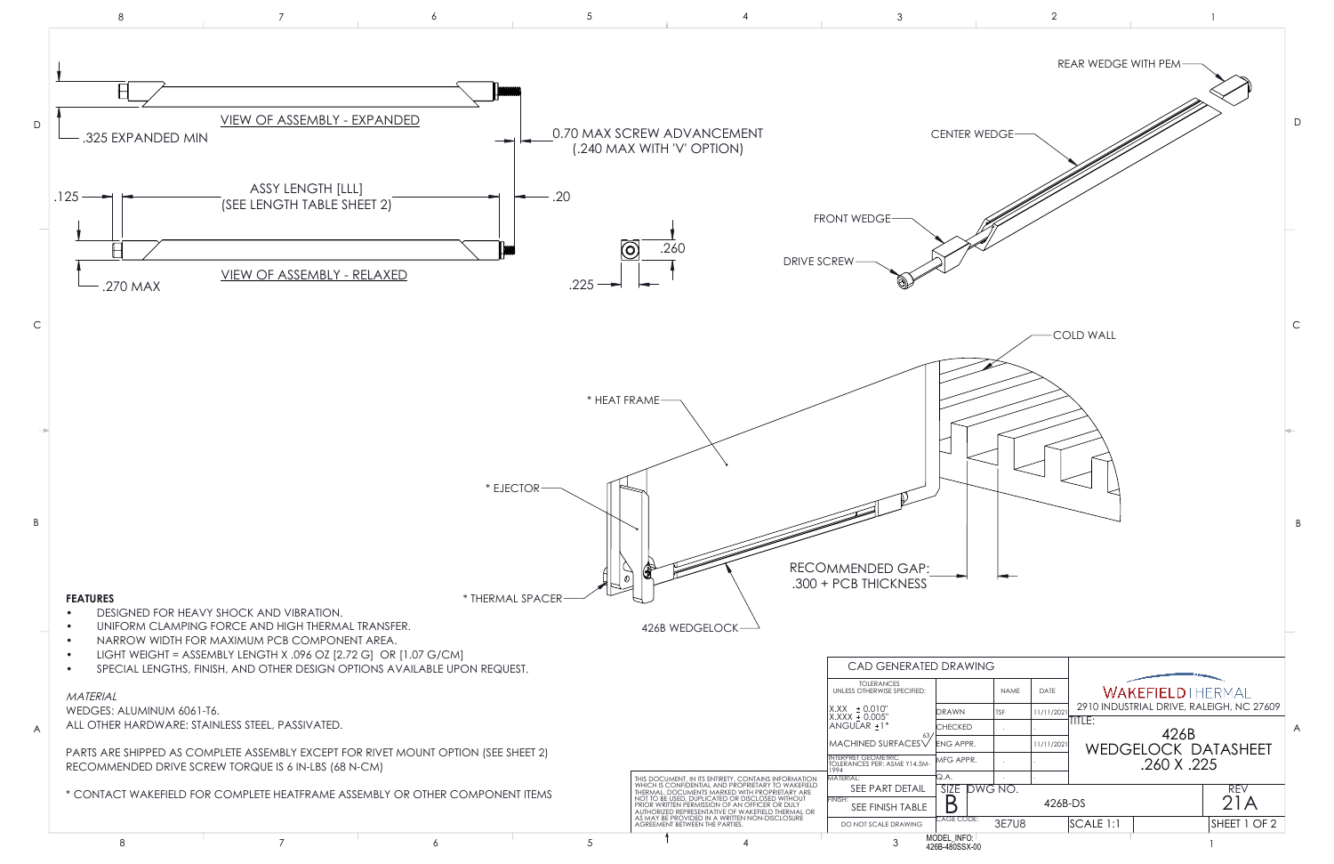